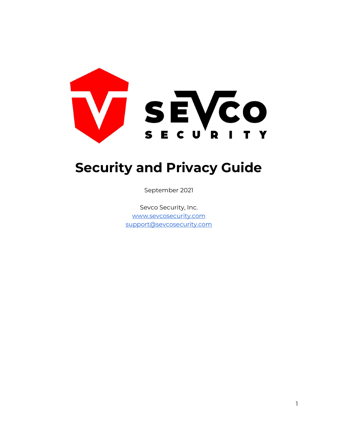

# Security and Privacy Guide

September 2021

Sevco Security, Inc. www.sevcosecurity.com support@sevcosecurity.com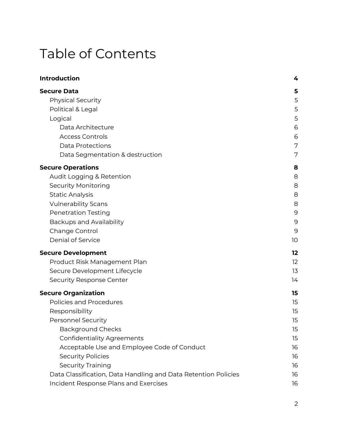# Table of Contents

| <b>Introduction</b>                                            | 4  |
|----------------------------------------------------------------|----|
| <b>Secure Data</b>                                             | 5  |
| <b>Physical Security</b>                                       | 5  |
| Political & Legal                                              | 5  |
| Logical                                                        | 5  |
| Data Architecture                                              | 6  |
| <b>Access Controls</b>                                         | 6  |
| <b>Data Protections</b>                                        | 7  |
| Data Segmentation & destruction                                | 7  |
| <b>Secure Operations</b>                                       | 8  |
| Audit Logging & Retention                                      | 8  |
| <b>Security Monitoring</b>                                     | 8  |
| <b>Static Analysis</b>                                         | 8  |
| <b>Vulnerability Scans</b>                                     | 8  |
| <b>Penetration Testing</b>                                     | 9  |
| Backups and Availability                                       | 9  |
| Change Control                                                 | 9  |
| Denial of Service                                              | 10 |
| <b>Secure Development</b>                                      | 12 |
| Product Risk Management Plan                                   | 12 |
| Secure Development Lifecycle                                   | 13 |
| Security Response Center                                       | 14 |
| <b>Secure Organization</b>                                     | 15 |
| Policies and Procedures                                        | 15 |
| Responsibility                                                 | 15 |
| <b>Personnel Security</b>                                      | 15 |
| <b>Background Checks</b>                                       | 15 |
| <b>Confidentiality Agreements</b>                              | 15 |
| Acceptable Use and Employee Code of Conduct                    | 16 |
| <b>Security Policies</b>                                       | 16 |
| <b>Security Training</b>                                       | 16 |
| Data Classification, Data Handling and Data Retention Policies | 16 |
| Incident Response Plans and Exercises                          | 16 |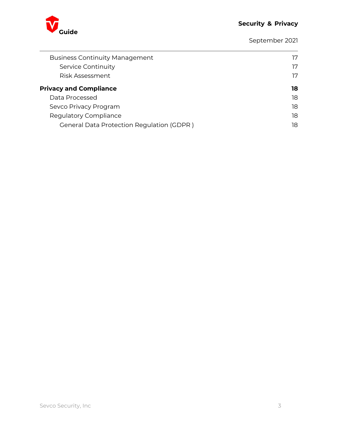

September 2021

| <b>Business Continuity Management</b><br>Service Continuity<br>Risk Assessment | 17<br>17 |
|--------------------------------------------------------------------------------|----------|
| <b>Privacy and Compliance</b>                                                  | 18       |
| Data Processed                                                                 | 18       |
| Sevco Privacy Program                                                          | 18       |
| Regulatory Compliance                                                          | 18       |
| <b>General Data Protection Regulation (GDPR)</b>                               | 18       |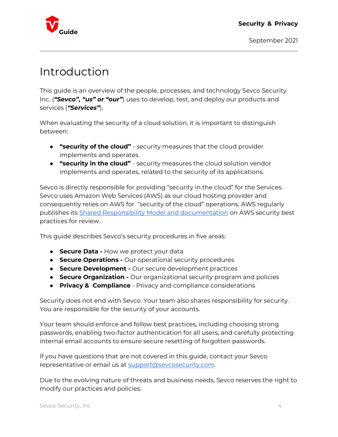

## Introduction

This guide is an overview of the people, processes, and technology Sevco Security Inc. ("Sevco", "us" or "our") uses to develop, test, and deploy our products and services ("Services").

When evaluating the security of a cloud solution, it is important to distinguish between:

- **"security of the cloud"** security measures that the cloud provider implements and operates.
- **"security in the cloud"** security measures the cloud solution vendor implements and operates, related to the security of its applications.

Sevco is directly responsible for providing "security in the cloud" for the Services. Sevco uses Amazon Web Services (AWS) as our cloud hosting provider and consequently relies on AWS for "security of the cloud" operations. AWS regularly publishes its Shared Responsibility Model and documentation on AWS security best practices for review.

This guide describes Sevco's security procedures in five areas:

- **Secure Data How we protect your data**
- **Secure Operations -** Our operational security procedures
- **Secure Development Our secure development practices**
- **Secure Organization -** Our organizational security program and policies
- **Privacy & Compliance** Privacy and compliance considerations

Security does not end with Sevco. Your team also shares responsibility for security. You are responsible for the security of your accounts.

Your team should enforce and follow best practices, including choosing strong passwords, enabling two-factor authentication for all users, and carefully protecting internal email accounts to ensure secure resetting of forgotten passwords.

If you have questions that are not covered in this guide, contact your Sevco representative or email us at support@sevcosecurity.com.

Due to the evolving nature of threats and business needs, Sevco reserves the right to modify our practices and policies.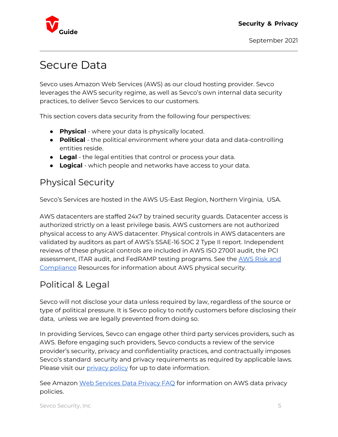

## Secure Data

Sevco uses Amazon Web Services (AWS) as our cloud hosting provider. Sevco leverages the AWS security regime, as well as Sevco's own internal data security practices, to deliver Sevco Services to our customers.

This section covers data security from the following four perspectives:

- **Physical** where your data is physically located.
- Political the political environment where your data and data-controlling entities reside.
- **Legal** the legal entities that control or process your data.
- **Logical** which people and networks have access to your data.

## Physical Security

Sevco's Services are hosted in the AWS US-East Region, Northern Virginia, USA.

AWS datacenters are staffed 24x7 by trained security guards. Datacenter access is authorized strictly on a least privilege basis. AWS customers are not authorized physical access to any AWS datacenter. Physical controls in AWS datacenters are validated by auditors as part of AWS's SSAE-16 SOC 2 Type II report. Independent reviews of these physical controls are included in AWS ISO 27001 audit, the PCI assessment, ITAR audit, and FedRAMP testing programs. See the AWS Risk and Compliance Resources for information about AWS physical security.

## Political & Legal

Sevco will not disclose your data unless required by law, regardless of the source or type of political pressure. It is Sevco policy to notify customers before disclosing their data, unless we are legally prevented from doing so.

In providing Services, Sevco can engage other third party services providers, such as AWS. Before engaging such providers, Sevco conducts a review of the service provider's security, privacy and confidentiality practices, and contractually imposes Sevco's standard security and privacy requirements as required by applicable laws. Please visit our *privacy policy* for up to date information.

See Amazon Web Services Data Privacy FAQ for information on AWS data privacy policies.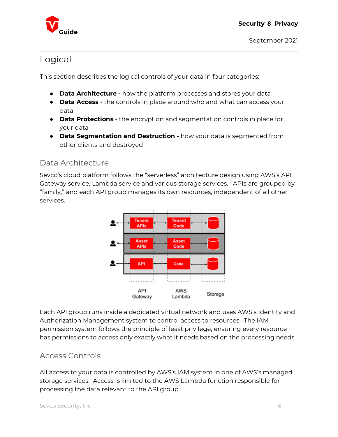

### Logical

This section describes the logical controls of your data in four categories:

- **Data Architecture -** how the platform processes and stores your data
- Data Access the controls in place around who and what can access your data
- Data Protections the encryption and segmentation controls in place for your data
- **Data Segmentation and Destruction** how your data is segmented from other clients and destroyed

#### Data Architecture

Sevco's cloud platform follows the "serverless" architecture design using AWS's API Gateway service, Lambda service and various storage services. APIs are grouped by "family," and each API group manages its own resources, independent of all other services.



Each API group runs inside a dedicated virtual network and uses AWS's Identity and Authorization Management system to control access to resources. The IAM permission system follows the principle of least privilege, ensuring every resource has permissions to access only exactly what it needs based on the processing needs.

### Access Controls

All access to your data is controlled by AWS's IAM system in one of AWS's managed storage services. Access is limited to the AWS Lambda function responsible for processing the data relevant to the API group.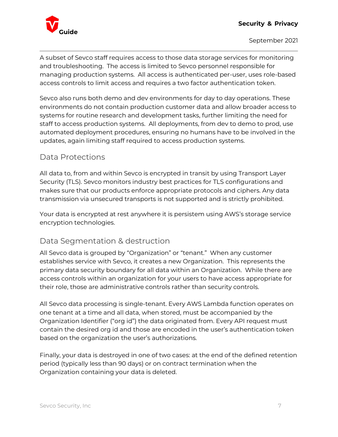

A subset of Sevco staff requires access to those data storage services for monitoring and troubleshooting. The access is limited to Sevco personnel responsible for managing production systems. All access is authenticated per-user, uses role-based access controls to limit access and requires a two factor authentication token.

Sevco also runs both demo and dev environments for day to day operations. These environments do not contain production customer data and allow broader access to systems for routine research and development tasks, further limiting the need for staff to access production systems. All deployments, from dev to demo to prod, use automated deployment procedures, ensuring no humans have to be involved in the updates, again limiting staff required to access production systems.

### Data Protections

All data to, from and within Sevco is encrypted in transit by using Transport Layer Security (TLS). Sevco monitors industry best practices for TLS configurations and makes sure that our products enforce appropriate protocols and ciphers. Any data transmission via unsecured transports is not supported and is strictly prohibited.

Your data is encrypted at rest anywhere it is persistem using AWS's storage service encryption technologies.

### Data Segmentation & destruction

All Sevco data is grouped by "Organization" or "tenant." When any customer establishes service with Sevco, it creates a new Organization. This represents the primary data security boundary for all data within an Organization. While there are access controls within an organization for your users to have access appropriate for their role, those are administrative controls rather than security controls.

All Sevco data processing is single-tenant. Every AWS Lambda function operates on one tenant at a time and all data, when stored, must be accompanied by the Organization Identifier ("org id") the data originated from. Every API request must contain the desired org id and those are encoded in the user's authentication token based on the organization the user's authorizations.

Finally, your data is destroyed in one of two cases: at the end of the defined retention period (typically less than 90 days) or on contract termination when the Organization containing your data is deleted.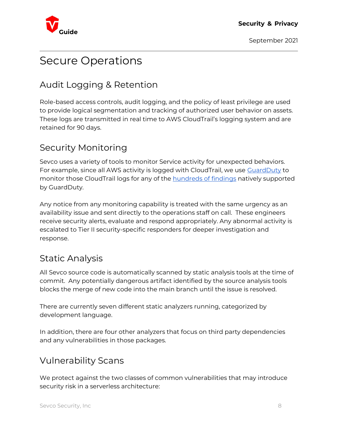

## Secure Operations

## Audit Logging & Retention

Role-based access controls, audit logging, and the policy of least privilege are used to provide logical segmentation and tracking of authorized user behavior on assets. These logs are transmitted in real time to AWS CloudTrail's logging system and are retained for 90 days.

## Security Monitoring

Sevco uses a variety of tools to monitor Service activity for unexpected behaviors. For example, since all AWS activity is logged with CloudTrail, we use GuardDuty to monitor those CloudTrail logs for any of the hundreds of findings natively supported by GuardDuty.

Any notice from any monitoring capability is treated with the same urgency as an availability issue and sent directly to the operations staff on call. These engineers receive security alerts, evaluate and respond appropriately. Any abnormal activity is escalated to Tier II security-specific responders for deeper investigation and response.

### Static Analysis

All Sevco source code is automatically scanned by static analysis tools at the time of commit. Any potentially dangerous artifact identified by the source analysis tools blocks the merge of new code into the main branch until the issue is resolved.

There are currently seven different static analyzers running, categorized by development language.

In addition, there are four other analyzers that focus on third party dependencies and any vulnerabilities in those packages.

## Vulnerability Scans

We protect against the two classes of common vulnerabilities that may introduce security risk in a serverless architecture: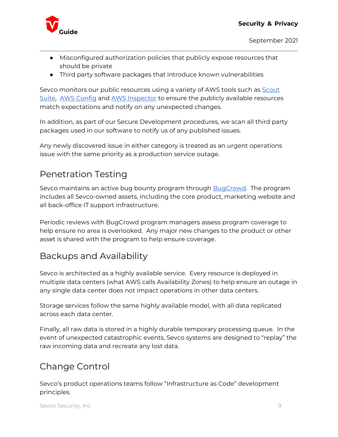

- Misconfigured authorization policies that publicly expose resources that should be private
- Third party software packages that introduce known vulnerabilities

Sevco monitors our public resources using a variety of AWS tools such as Scout Suite, AWS Config and AWS Inspector to ensure the publicly available resources match expectations and notify on any unexpected changes.

In addition, as part of our Secure Development procedures, we scan all third party packages used in our software to notify us of any published issues.

Any newly discovered issue in either category is treated as an urgent operations issue with the same priority as a production service outage.

## Penetration Testing

Sevco maintains an active bug bounty program through **BugCrowd.** The program includes all Sevco-owned assets, including the core product, marketing website and all back-office IT support infrastructure.

Periodic reviews with BugCrowd program managers assess program coverage to help ensure no area is overlooked. Any major new changes to the product or other asset is shared with the program to help ensure coverage.

## Backups and Availability

Sevco is architected as a highly available service. Every resource is deployed in multiple data centers (what AWS calls Availability Zones) to help ensure an outage in any single data center does not impact operations in other data centers.

Storage services follow the same highly available model, with all data replicated across each data center.

Finally, all raw data is stored in a highly durable temporary processing queue. In the event of unexpected catastrophic events, Sevco systems are designed to "replay" the raw incoming data and recreate any lost data.

## Change Control

Sevco's product operations teams follow "Infrastructure as Code" development principles.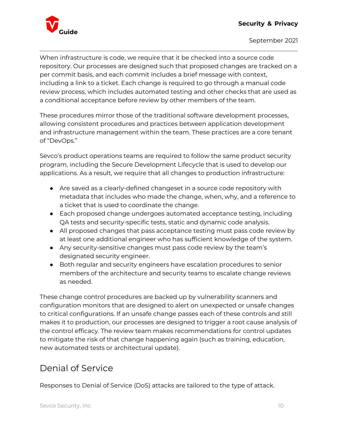

When infrastructure is code, we require that it be checked into a source code repository. Our processes are designed such that proposed changes are tracked on a per commit basis, and each commit includes a brief message with context, including a link to a ticket. Each change is required to go through a manual code review process, which includes automated testing and other checks that are used as a conditional acceptance before review by other members of the team.

These procedures mirror those of the traditional software development processes, allowing consistent procedures and practices between application development and infrastructure management within the team. These practices are a core tenant of "DevOps."

Sevco's product operations teams are required to follow the same product security program, including the Secure Development Lifecycle that is used to develop our applications. As a result, we require that all changes to production infrastructure:

- Are saved as a clearly-defined changeset in a source code repository with metadata that includes who made the change, when, why, and a reference to a ticket that is used to coordinate the change.
- Each proposed change undergoes automated acceptance testing, including QA tests and security-specific tests, static and dynamic code analysis.
- All proposed changes that pass acceptance testing must pass code review by at least one additional engineer who has sufficient knowledge of the system.
- Any security-sensitive changes must pass code review by the team's designated security engineer.
- Both regular and security engineers have escalation procedures to senior members of the architecture and security teams to escalate change reviews as needed.

These change control procedures are backed up by vulnerability scanners and configuration monitors that are designed to alert on unexpected or unsafe changes to critical configurations. If an unsafe change passes each of these controls and still makes it to production, our processes are designed to trigger a root cause analysis of the control efficacy. The review team makes recommendations for control updates to mitigate the risk of that change happening again (such as training, education, new automated tests or architectural update).

## Denial of Service

Responses to Denial of Service (DoS) attacks are tailored to the type of attack.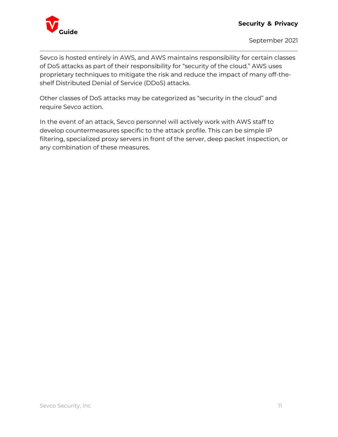

Sevco is hosted entirely in AWS, and AWS maintains responsibility for certain classes of DoS attacks as part of their responsibility for "security of the cloud." AWS uses proprietary techniques to mitigate the risk and reduce the impact of many off-theshelf Distributed Denial of Service (DDoS) attacks.

Other classes of DoS attacks may be categorized as "security in the cloud" and require Sevco action.

In the event of an attack, Sevco personnel will actively work with AWS staff to develop countermeasures specific to the attack profile. This can be simple IP filtering, specialized proxy servers in front of the server, deep packet inspection, or any combination of these measures.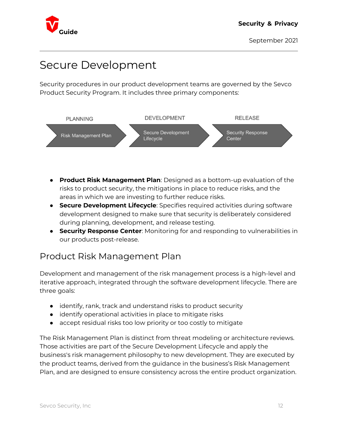

## Secure Development

Security procedures in our product development teams are governed by the Sevco Product Security Program. It includes three primary components:



- **Product Risk Management Plan**: Designed as a bottom-up evaluation of the risks to product security, the mitigations in place to reduce risks, and the areas in which we are investing to further reduce risks.
- **Secure Development Lifecycle**: Specifies required activities during software development designed to make sure that security is deliberately considered during planning, development, and release testing.
- **Security Response Center:** Monitoring for and responding to vulnerabilities in our products post-release.

### Product Risk Management Plan

Development and management of the risk management process is a high-level and iterative approach, integrated through the software development lifecycle. There are three goals:

- identify, rank, track and understand risks to product security
- identify operational activities in place to mitigate risks
- accept residual risks too low priority or too costly to mitigate

The Risk Management Plan is distinct from threat modeling or architecture reviews. Those activities are part of the Secure Development Lifecycle and apply the business's risk management philosophy to new development. They are executed by the product teams, derived from the guidance in the business's Risk Management Plan, and are designed to ensure consistency across the entire product organization.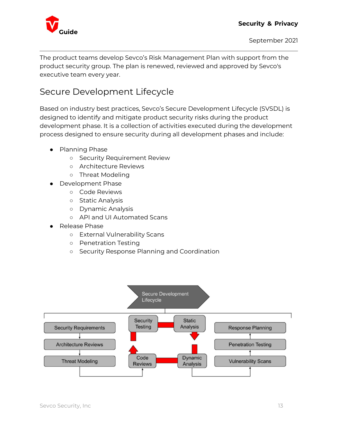

The product teams develop Sevco's Risk Management Plan with support from the product security group. The plan is renewed, reviewed and approved by Sevco's executive team every year.

## Secure Development Lifecycle

Based on industry best practices, Sevco's Secure Development Lifecycle (SVSDL) is designed to identify and mitigate product security risks during the product development phase. It is a collection of activities executed during the development process designed to ensure security during all development phases and include:

- Planning Phase
	- Security Requirement Review
	- Architecture Reviews
	- Threat Modeling
- Development Phase
	- Code Reviews
	- Static Analysis
	- Dynamic Analysis
	- API and UI Automated Scans
- Release Phase
	- External Vulnerability Scans
	- Penetration Testing
	- Security Response Planning and Coordination

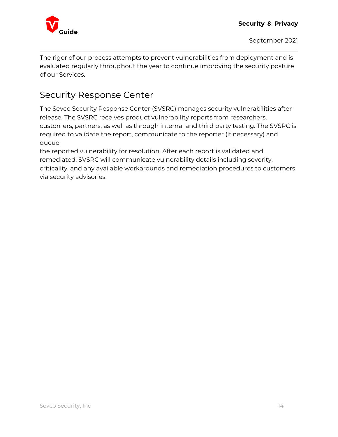

The rigor of our process attempts to prevent vulnerabilities from deployment and is evaluated regularly throughout the year to continue improving the security posture of our Services.

### Security Response Center

The Sevco Security Response Center (SVSRC) manages security vulnerabilities after release. The SVSRC receives product vulnerability reports from researchers, customers, partners, as well as through internal and third party testing. The SVSRC is required to validate the report, communicate to the reporter (if necessary) and queue

the reported vulnerability for resolution. After each report is validated and remediated, SVSRC will communicate vulnerability details including severity, criticality, and any available workarounds and remediation procedures to customers via security advisories.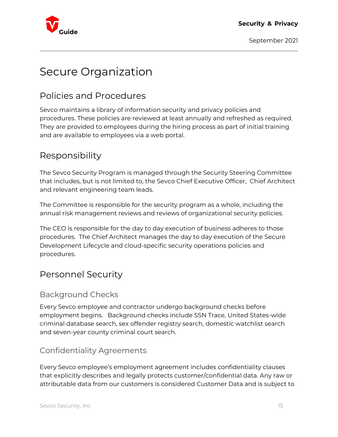

## Secure Organization

## Policies and Procedures

Sevco maintains a library of information security and privacy policies and procedures. These policies are reviewed at least annually and refreshed as required. They are provided to employees during the hiring process as part of initial training and are available to employees via a web portal.

## Responsibility

The Sevco Security Program is managed through the Security Steering Committee that includes, but is not limited to, the Sevco Chief Executive Officer, Chief Architect and relevant engineering team leads.

The Committee is responsible for the security program as a whole, including the annual risk management reviews and reviews of organizational security policies.

The CEO is responsible for the day to day execution of business adheres to those procedures. The Chief Architect manages the day to day execution of the Secure Development Lifecycle and cloud-specific security operations policies and procedures.

### Personnel Security

### Background Checks

Every Sevco employee and contractor undergo background checks before employment begins. Background checks include SSN Trace, United States-wide criminal database search, sex offender registry search, domestic watchlist search and seven-year county criminal court search.

### Confidentiality Agreements

Every Sevco employee's employment agreement includes confidentiality clauses that explicitly describes and legally protects customer/confidential data. Any raw or attributable data from our customers is considered Customer Data and is subject to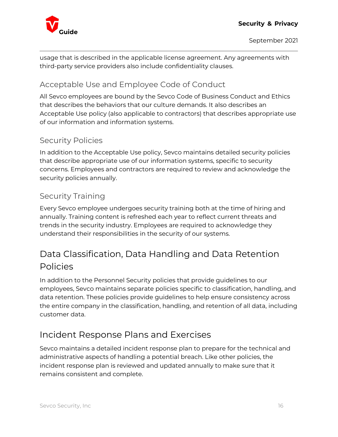

usage that is described in the applicable license agreement. Any agreements with third-party service providers also include confidentiality clauses.

### Acceptable Use and Employee Code of Conduct

All Sevco employees are bound by the Sevco Code of Business Conduct and Ethics that describes the behaviors that our culture demands. It also describes an Acceptable Use policy (also applicable to contractors) that describes appropriate use of our information and information systems.

### Security Policies

In addition to the Acceptable Use policy, Sevco maintains detailed security policies that describe appropriate use of our information systems, specific to security concerns. Employees and contractors are required to review and acknowledge the security policies annually.

### Security Training

Every Sevco employee undergoes security training both at the time of hiring and annually. Training content is refreshed each year to reflect current threats and trends in the security industry. Employees are required to acknowledge they understand their responsibilities in the security of our systems.

## Data Classification, Data Handling and Data Retention Policies

In addition to the Personnel Security policies that provide guidelines to our employees, Sevco maintains separate policies specific to classification, handling, and data retention. These policies provide guidelines to help ensure consistency across the entire company in the classification, handling, and retention of all data, including customer data.

## Incident Response Plans and Exercises

Sevco maintains a detailed incident response plan to prepare for the technical and administrative aspects of handling a potential breach. Like other policies, the incident response plan is reviewed and updated annually to make sure that it remains consistent and complete.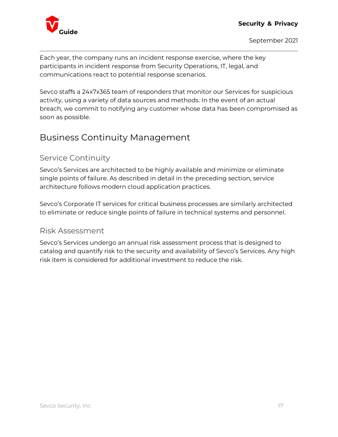

Each year, the company runs an incident response exercise, where the key participants in incident response from Security Operations, IT, legal, and communications react to potential response scenarios.

Sevco staffs a 24x7x365 team of responders that monitor our Services for suspicious activity, using a variety of data sources and methods. In the event of an actual breach, we commit to notifying any customer whose data has been compromised as soon as possible.

## Business Continuity Management

### Service Continuity

Sevco's Services are architected to be highly available and minimize or eliminate single points of failure. As described in detail in the preceding section, service architecture follows modern cloud application practices.

Sevco's Corporate IT services for critical business processes are similarly architected to eliminate or reduce single points of failure in technical systems and personnel.

#### Risk Assessment

Sevco's Services undergo an annual risk assessment process that is designed to catalog and quantify risk to the security and availability of Sevco's Services. Any high risk item is considered for additional investment to reduce the risk.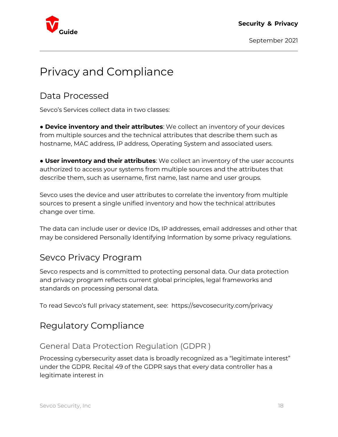

## Privacy and Compliance

### Data Processed

Sevco's Services collect data in two classes:

**• Device inventory and their attributes**: We collect an inventory of your devices from multiple sources and the technical attributes that describe them such as hostname, MAC address, IP address, Operating System and associated users.

**• User inventory and their attributes**: We collect an inventory of the user accounts authorized to access your systems from multiple sources and the attributes that describe them, such as username, first name, last name and user groups.

Sevco uses the device and user attributes to correlate the inventory from multiple sources to present a single unified inventory and how the technical attributes change over time.

The data can include user or device IDs, IP addresses, email addresses and other that may be considered Personally Identifying Information by some privacy regulations.

### Sevco Privacy Program

Sevco respects and is committed to protecting personal data. Our data protection and privacy program reflects current global principles, legal frameworks and standards on processing personal data.

To read Sevco's full privacy statement, see: https://sevcosecurity.com/privacy

### Regulatory Compliance

### General Data Protection Regulation (GDPR )

Processing cybersecurity asset data is broadly recognized as a "legitimate interest" under the GDPR. Recital 49 of the GDPR says that every data controller has a legitimate interest in